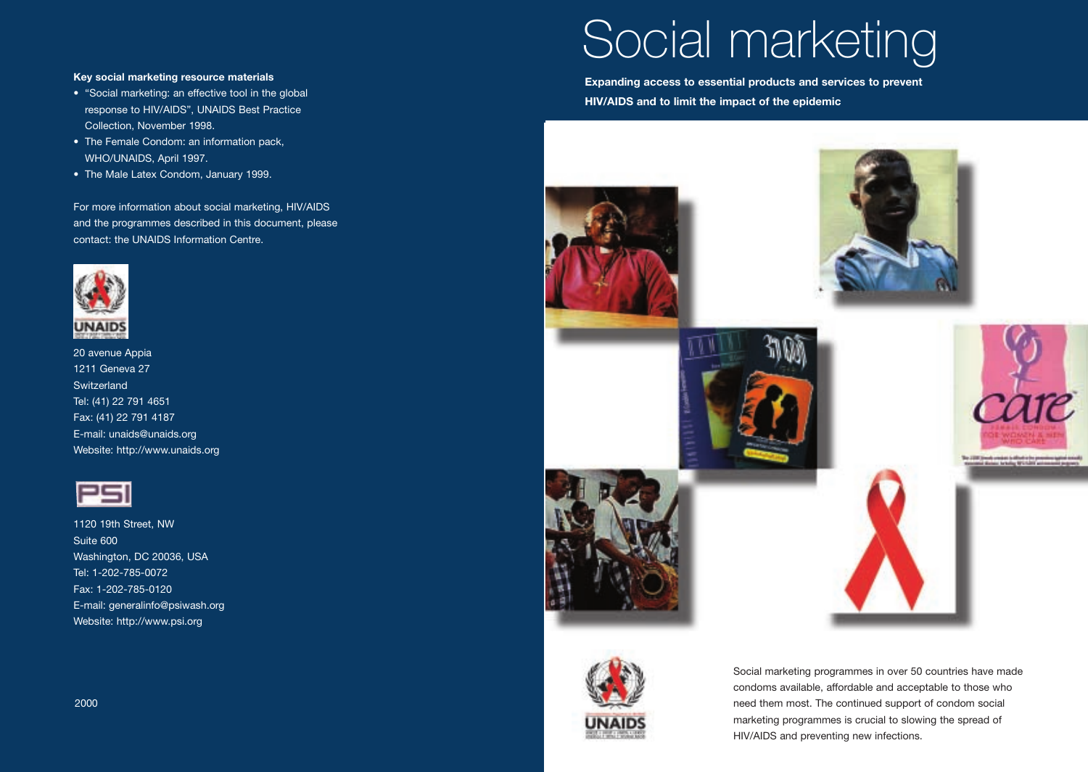#### **Key social marketing resource materials**

- "Social marketing: an effective tool in the global response to HIV/AIDS", UNAIDS Best Practice Collection, November 1998.
- The Female Condom: an information pack, WHO/UNAIDS, April 1997.
- The Male Latex Condom, January 1999.

For more information about social marketing, HIV/AIDS and the programmes described in this document, please contact: the UNAIDS Information Centre.



20 avenue Appia 1211 Geneva 27 **Switzerland** Tel: (41) 22 791 4651 Fax: (41) 22 791 4187 E-mail: unaids@unaids.org Website: http://www.unaids.org



1120 19th Street, NW Suite 600 Washington, DC 20036, USA Tel: 1-202-785-0072 Fax: 1-202-785-0120 E-mail: generalinfo@psiwash.org Website: http://www.psi.org





**HIV/AIDS and to limit the impact of the epidemic**

Social marketing

**Expanding access to essential products and services to prevent**









Social marketing programmes in over 50 countries have made condoms available, affordable and acceptable to those who need them most. The continued support of condom social marketing programmes is crucial to slowing the spread of HIV/AIDS and preventing new infections.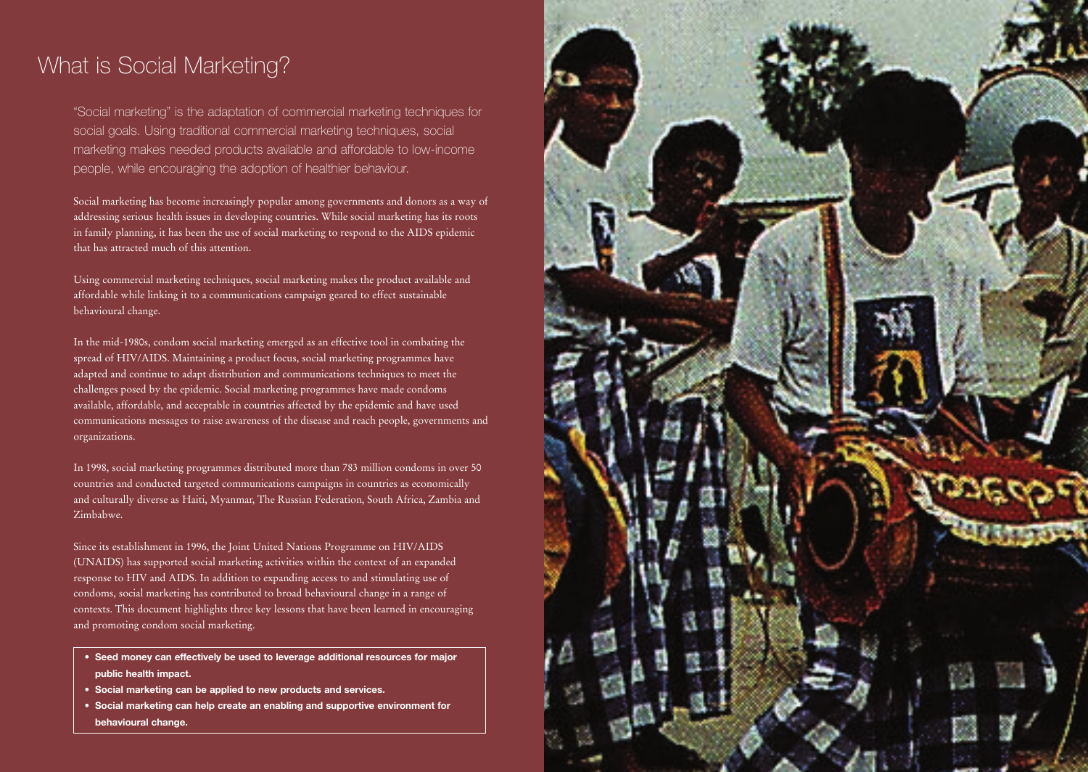### What is Social Marketing?

"Social marketing" is the adaptation of commercial marketing techniques for social goals. Using traditional commercial marketing techniques, social marketing makes needed products available and affordable to low-income people, while encouraging the adoption of healthier behaviour.

Social marketing has become increasingly popular among governments and donors as a way of addressing serious health issues in developing countries. While social marketing has its roots in family planning, it has been the use of social marketing to respond to the AIDS epidemic that has attracted much of this attention.

Using commercial marketing techniques, social marketing makes the product available and affordable while linking it to a communications campaign geared to effect sustainable behavioural change.

In the mid-1980s, condom social marketing emerged as an effective tool in combating the spread of HIV/AIDS. Maintaining a product focus, social marketing programmes have adapted and continue to adapt distribution and communications techniques to meet the challenges posed by the epidemic. Social marketing programmes have made condoms available, affordable, and acceptable in countries affected by the epidemic and have used communications messages to raise awareness of the disease and reach people, governments and organizations.

In 1998, social marketing programmes distributed more than 783 million condoms in over 50 countries and conducted targeted communications campaigns in countries as economically and culturally diverse as Haiti, Myanmar, The Russian Federation, South Africa, Zambia and Zimbabwe.

Since its establishment in 1996, the Joint United Nations Programme on HIV/AIDS (UNAIDS) has supported social marketing activities within the context of an expanded response to HIV and AIDS. In addition to expanding access to and stimulating use of condoms, social marketing has contributed to broad behavioural change in a range of contexts. This document highlights three key lessons that have been learned in encouraging and promoting condom social marketing.

- **Seed money can effectively be used to leverage additional resources for major public health impact.**
- **Social marketing can be applied to new products and services.**
- **Social marketing can help create an enabling and supportive environment for behavioural change.**

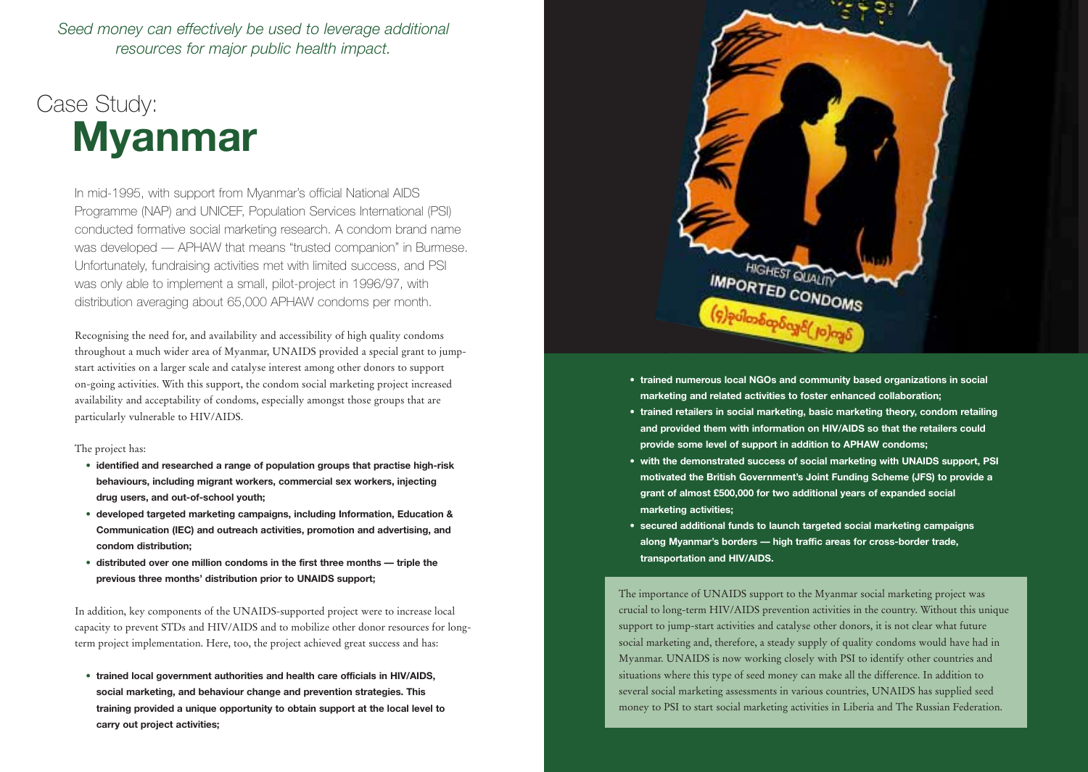*Seed money can effectively be used to leverage additional resources for major public health impact.*

# Case Study: **Myanmar**

In mid-1995, with support from Myanmar's official National AIDS Programme (NAP) and UNICEF, Population Services International (PSI) conducted formative social marketing research. A condom brand name was developed — APHAW that means "trusted companion" in Burmese. Unfortunately, fundraising activities met with limited success, and PSI was only able to implement a small, pilot-project in 1996/97, with distribution averaging about 65,000 APHAW condoms per month.

Recognising the need for, and availability and accessibility of high quality condoms throughout a much wider area of Myanmar, UNAIDS provided a special grant to jumpstart activities on a larger scale and catalyse interest among other donors to support on-going activities. With this support, the condom social marketing project increased availability and acceptability of condoms, especially amongst those groups that are particularly vulnerable to HIV/AIDS.

The project has:

- **• identified and researched a range of population groups that practise high-risk behaviours, including migrant workers, commercial sex workers, injecting drug users, and out-of-school youth;**
- **• developed targeted marketing campaigns, including Information, Education & Communication (IEC) and outreach activities, promotion and advertising, and condom distribution;**
- **• distributed over one million condoms in the first three months triple the previous three months' distribution prior to UNAIDS support;**

In addition, key components of the UNAIDS-supported project were to increase local capacity to prevent STDs and HIV/AIDS and to mobilize other donor resources for longterm project implementation. Here, too, the project achieved great success and has:

**• trained local government authorities and health care officials in HIV/AIDS, social marketing, and behaviour change and prevention strategies. This training provided a unique opportunity to obtain support at the local level to carry out project activities;**



- **trained numerous local NGOs and community based organizations in social marketing and related activities to foster enhanced collaboration;**
- **trained retailers in social marketing, basic marketing theory, condom retailing and provided them with information on HIV/AIDS so that the retailers could provide some level of support in addition to APHAW condoms;**
- **with the demonstrated success of social marketing with UNAIDS support, PSI motivated the British Government's Joint Funding Scheme (JFS) to provide a grant of almost £500,000 for two additional years of expanded social marketing activities;**
- **secured additional funds to launch targeted social marketing campaigns along Myanmar's borders — high traffic areas for cross-border trade, transportation and HIV/AIDS.**

The importance of UNAIDS support to the Myanmar social marketing project was crucial to long-term HIV/AIDS prevention activities in the country. Without this unique support to jump-start activities and catalyse other donors, it is not clear what future social marketing and, therefore, a steady supply of quality condoms would have had in Myanmar. UNAIDS is now working closely with PSI to identify other countries and situations where this type of seed money can make all the difference. In addition to several social marketing assessments in various countries, UNAIDS has supplied seed money to PSI to start social marketing activities in Liberia and The Russian Federation.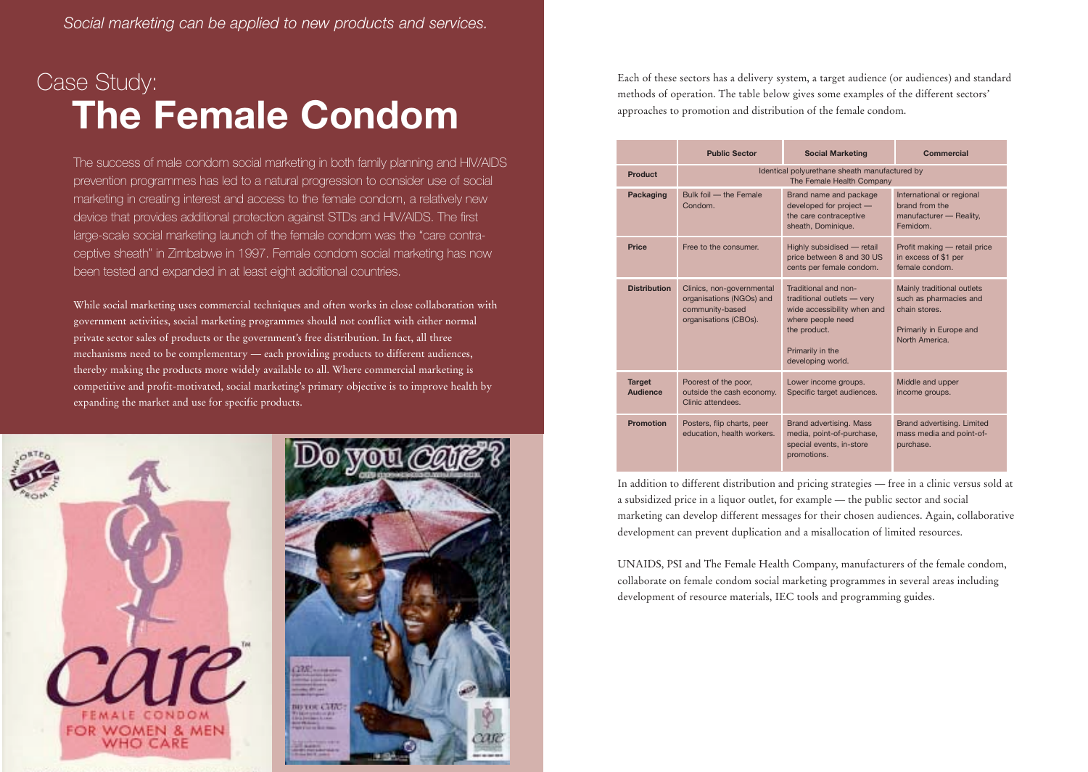## Case Study: **The Female Condom**

The success of male condom social marketing in both family planning and HIV/AIDS prevention programmes has led to a natural progression to consider use of social marketing in creating interest and access to the female condom, a relatively new device that provides additional protection against STDs and HIV/AIDS. The first large-scale social marketing launch of the female condom was the "care contraceptive sheath" in Zimbabwe in 1997. Female condom social marketing has now been tested and expanded in at least eight additional countries.

While social marketing uses commercial techniques and often works in close collaboration with government activities, social marketing programmes should not conflict with either normal private sector sales of products or the government's free distribution. In fact, all three mechanisms need to be complementary — each providing products to different audiences, thereby making the products more widely available to all. Where commercial marketing is competitive and profit-motivated, social marketing's primary objective is to improve health by expanding the market and use for specific products.





Each of these sectors has a delivery system, a target audience (or audiences) and standard methods of operation. The table below gives some examples of the different sectors' approaches to promotion and distribution of the female condom.

|                           | <b>Public Sector</b>                                                                              | <b>Social Marketing</b>                                                                                                                                         | Commercial                                                                                                        |
|---------------------------|---------------------------------------------------------------------------------------------------|-----------------------------------------------------------------------------------------------------------------------------------------------------------------|-------------------------------------------------------------------------------------------------------------------|
| <b>Product</b>            | Identical polyurethane sheath manufactured by<br>The Female Health Company                        |                                                                                                                                                                 |                                                                                                                   |
| Packaging                 | Bulk foil - the Female<br>Condom.                                                                 | Brand name and package<br>developed for project -<br>the care contraceptive<br>sheath, Dominique.                                                               | International or regional<br>brand from the<br>manufacturer - Reality,<br>Femidom.                                |
| Price                     | Free to the consumer.                                                                             | Highly subsidised - retail<br>price between 8 and 30 US<br>cents per female condom.                                                                             | Profit making - retail price<br>in excess of \$1 per<br>female condom.                                            |
| <b>Distribution</b>       | Clinics, non-governmental<br>organisations (NGOs) and<br>community-based<br>organisations (CBOs). | Traditional and non-<br>traditional outlets - very<br>wide accessibility when and<br>where people need<br>the product.<br>Primarily in the<br>developing world. | Mainly traditional outlets<br>such as pharmacies and<br>chain stores.<br>Primarily in Europe and<br>North America |
| <b>Target</b><br>Audience | Poorest of the poor,<br>outside the cash economy.<br>Clinic attendees.                            | Lower income groups.<br>Specific target audiences.                                                                                                              | Middle and upper<br>income groups.                                                                                |
| <b>Promotion</b>          | Posters, flip charts, peer<br>education, health workers.                                          | Brand advertising. Mass<br>media, point-of-purchase,<br>special events, in-store<br>promotions.                                                                 | Brand advertising. Limited<br>mass media and point-of-<br>purchase.                                               |

In addition to different distribution and pricing strategies — free in a clinic versus sold at a subsidized price in a liquor outlet, for example — the public sector and social marketing can develop different messages for their chosen audiences. Again, collaborative development can prevent duplication and a misallocation of limited resources.

UNAIDS, PSI and The Female Health Company, manufacturers of the female condom, collaborate on female condom social marketing programmes in several areas including development of resource materials, IEC tools and programming guides.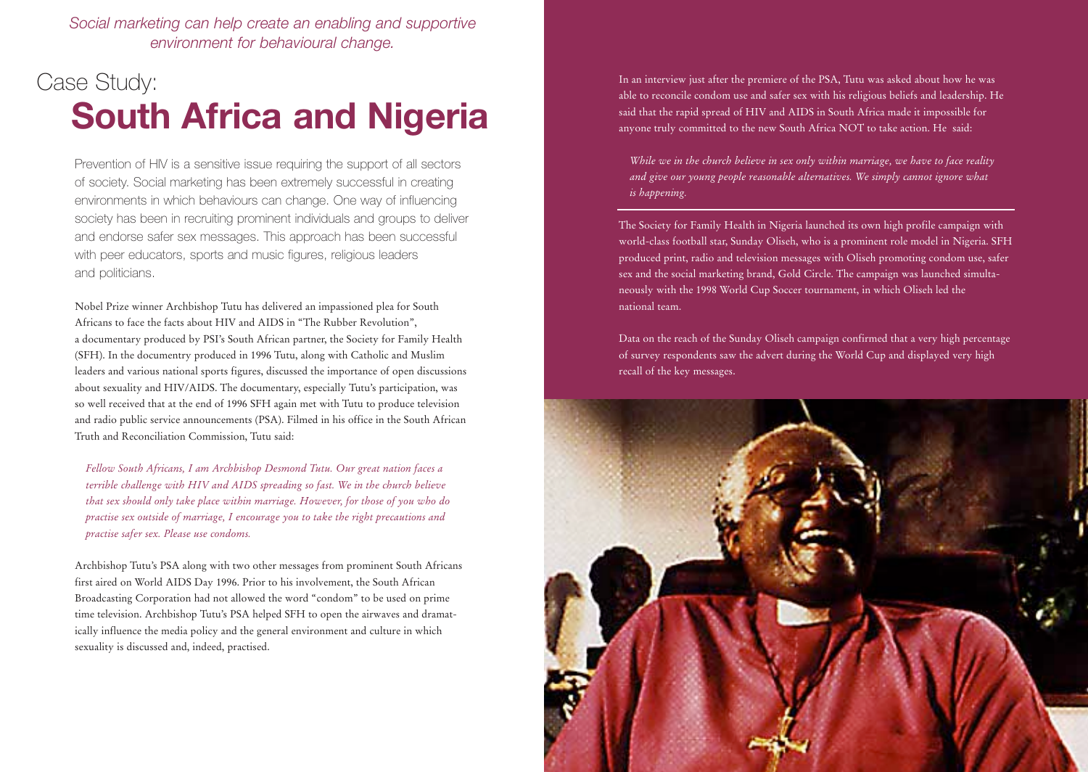*Social marketing can help create an enabling and supportive environment for behavioural change.*

### Case Study: **South Africa and Nigeria**

Prevention of HIV is a sensitive issue requiring the support of all sectors of society. Social marketing has been extremely successful in creating environments in which behaviours can change. One way of influencing society has been in recruiting prominent individuals and groups to deliver and endorse safer sex messages. This approach has been successful with peer educators, sports and music figures, religious leaders and politicians.

Nobel Prize winner Archbishop Tutu has delivered an impassioned plea for South Africans to face the facts about HIV and AIDS in "The Rubber Revolution", a documentary produced by PSI's South African partner, the Society for Family Health (SFH). In the documentry produced in 1996 Tutu, along with Catholic and Muslim leaders and various national sports figures, discussed the importance of open discussions about sexuality and HIV/AIDS. The documentary, especially Tutu's participation, was so well received that at the end of 1996 SFH again met with Tutu to produce television and radio public service announcements (PSA). Filmed in his office in the South African Truth and Reconciliation Commission, Tutu said:

*Fellow South Africans, I am Archbishop Desmond Tutu. Our great nation faces a terrible challenge with HIV and AIDS spreading so fast. We in the church believe that sex should only take place within marriage. However, for those of you who do practise sex outside of marriage, I encourage you to take the right precautions and practise safer sex. Please use condoms.*

Archbishop Tutu's PSA along with two other messages from prominent South Africans first aired on World AIDS Day 1996. Prior to his involvement, the South African Broadcasting Corporation had not allowed the word "condom" to be used on prime time television. Archbishop Tutu's PSA helped SFH to open the airwaves and dramatically influence the media policy and the general environment and culture in which sexuality is discussed and, indeed, practised.

In an interview just after the premiere of the PSA, Tutu was asked about how he was able to reconcile condom use and safer sex with his religious beliefs and leadership. He said that the rapid spread of HIV and AIDS in South Africa made it impossible for anyone truly committed to the new South Africa NOT to take action. He said:

*While we in the church believe in sex only within marriage, we have to face reality and give our young people reasonable alternatives. We simply cannot ignore what is happening.*

The Society for Family Health in Nigeria launched its own high profile campaign with world-class football star, Sunday Oliseh, who is a prominent role model in Nigeria. SFH produced print, radio and television messages with Oliseh promoting condom use, safer sex and the social marketing brand, Gold Circle. The campaign was launched simultaneously with the 1998 World Cup Soccer tournament, in which Oliseh led the national team.

Data on the reach of the Sunday Oliseh campaign confirmed that a very high percentage of survey respondents saw the advert during the World Cup and displayed very high recall of the key messages.